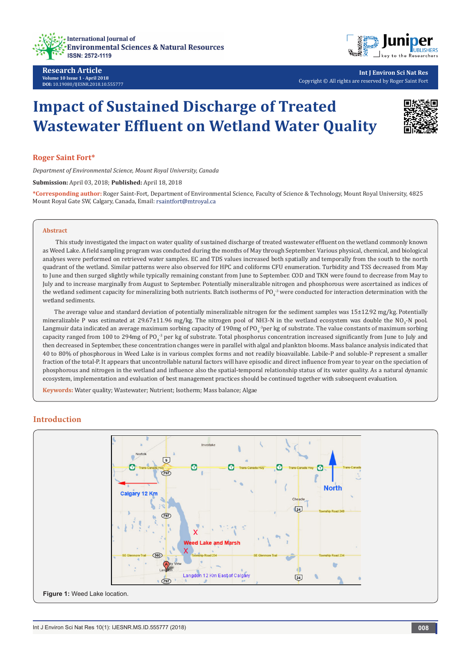



**Int J Environ Sci Nat Res** Copyright © All rights are reserved by Roger Saint Fort

# **Impact of Sustained Discharge of Treated Wastewater Effluent on Wetland Water Quality**



#### **Roger Saint Fort\***

*Department of Environmental Science, Mount Royal University, Canada*

**Submission:** April 03, 2018; **Published:** April 18, 2018

**\*Corresponding author:** Roger Saint-Fort, Department of Environmental Science, Faculty of Science & Technology, Mount Royal University, 4825 Mount Royal Gate SW, Calgary, Canada, Email:

#### **Abstract**

 This study investigated the impact on water quality of sustained discharge of treated wastewater effluent on the wetland commonly known as Weed Lake. A field sampling program was conducted during the months of May through September. Various physical, chemical, and biological analyses were performed on retrieved water samples. EC and TDS values increased both spatially and temporally from the south to the north quadrant of the wetland. Similar patterns were also observed for HPC and coliforms CFU enumeration. Turbidity and TSS decreased from May to June and then surged slightly while typically remaining constant from June to September. COD and TKN were found to decrease from May to July and to increase marginally from August to September. Potentially mineralizable nitrogen and phosphorous were ascertained as indices of the wetland sediment capacity for mineralizing both nutrients. Batch isotherms of PO<sub>4</sub><sup>-3</sup> were conducted for interaction determination with the wetland sediments.

The average value and standard deviation of potentially mineralizable nitrogen for the sediment samples was 15±12.92 mg/kg. Potentially mineralizable P was estimated at 29.67±11.96 mg/kg. The nitrogen pool of NH3-N in the wetland ecosystem was double the NO<sub>3</sub>-N pool. Langmuir data indicated an average maximum sorbing capacity of 190mg of PO<sub>4</sub><sup>3</sup>per kg of substrate. The value constants of maximum sorbing capacity ranged from 100 to 294mg of PO<sub>4</sub><sup>-3</sup> per kg of substrate. Total phosphorus concentration increased significantly from June to July and then decreased in September, these concentration changes were in parallel with algal and plankton blooms. Mass balance analysis indicated that 40 to 80% of phosphorous in Weed Lake is in various complex forms and not readily bioavailable. Labile-P and soluble-P represent a smaller fraction of the total-P. It appears that uncontrollable natural factors will have episodic and direct influence from year to year on the speciation of phosphorous and nitrogen in the wetland and influence also the spatial-temporal relationship status of its water quality. As a natural dynamic ecosystem, implementation and evaluation of best management practices should be continued together with subsequent evaluation.

**Keywords:** Water quality; Wastewater; Nutrient; Isotherm; Mass balance; Algae

## **Introduction**

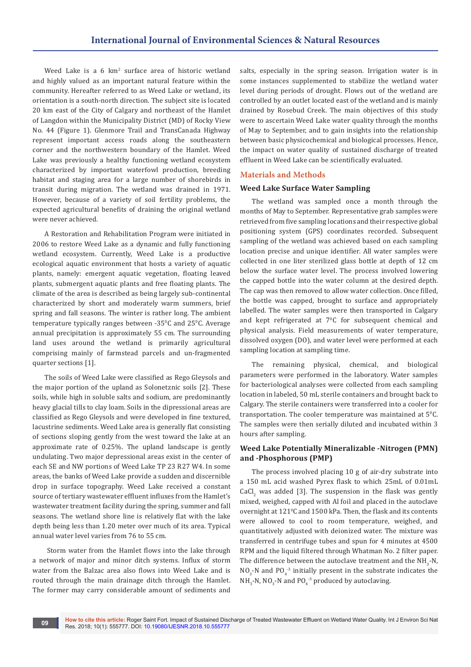Weed Lake is a 6 km<sup>2</sup> surface area of historic wetland and highly valued as an important natural feature within the community. Hereafter referred to as Weed Lake or wetland, its orientation is a south-north direction. The subject site is located 20 km east of the City of Calgary and northeast of the Hamlet of Langdon within the Municipality District (MD) of Rocky View No. 44 (Figure 1). Glenmore Trail and TransCanada Highway represent important access roads along the southeastern corner and the northwestern boundary of the Hamlet. Weed Lake was previously a healthy functioning wetland ecosystem characterized by important waterfowl production, breeding habitat and staging area for a large number of shorebirds in transit during migration. The wetland was drained in 1971. However, because of a variety of soil fertility problems, the expected agricultural benefits of draining the original wetland were never achieved.

A Restoration and Rehabilitation Program were initiated in 2006 to restore Weed Lake as a dynamic and fully functioning wetland ecosystem. Currently, Weed Lake is a productive ecological aquatic environment that hosts a variety of aquatic plants, namely: emergent aquatic vegetation, floating leaved plants, submergent aquatic plants and free floating plants. The climate of the area is described as being largely sub-continental characterized by short and moderately warm summers, brief spring and fall seasons. The winter is rather long. The ambient temperature typically ranges between -35°C and 25°C. Average annual precipitation is approximately 55 cm. The surrounding land uses around the wetland is primarily agricultural comprising mainly of farmstead parcels and un-fragmented quarter sections [1].

The soils of Weed Lake were classified as Rego Gleysols and the major portion of the upland as Solonetznic soils [2]. These soils, while high in soluble salts and sodium, are predominantly heavy glacial tills to clay loam. Soils in the dipressional areas are classified as Rego Gleysols and were developed in fine textured, lacustrine sediments. Weed Lake area is generally flat consisting of sections sloping gently from the west toward the lake at an approximate rate of 0.25%. The upland landscape is gently undulating. Two major depressional areas exist in the center of each SE and NW portions of Weed Lake TP 23 R27 W4. In some areas, the banks of Weed Lake provide a sudden and discernible drop in surface topography. Weed Lake received a constant source of tertiary wastewater effluent influxes from the Hamlet's wastewater treatment facility during the spring, summer and fall seasons. The wetland shore line is relatively flat with the lake depth being less than 1.20 meter over much of its area. Typical annual water level varies from 76 to 55 cm.

 Storm water from the Hamlet flows into the lake through a network of major and minor ditch systems. Influx of storm water from the Balzac area also flows into Weed Lake and is routed through the main drainage ditch through the Hamlet. The former may carry considerable amount of sediments and

salts, especially in the spring season. Irrigation water is in some instances supplemented to stabilize the wetland water level during periods of drought. Flows out of the wetland are controlled by an outlet located east of the wetland and is mainly drained by Rosebud Creek. The main objectives of this study were to ascertain Weed Lake water quality through the months of May to September, and to gain insights into the relationship between basic physicochemical and biological processes. Hence, the impact on water quality of sustained discharge of treated effluent in Weed Lake can be scientifically evaluated.

## **Materials and Methods**

### **Weed Lake Surface Water Sampling**

The wetland was sampled once a month through the months of May to September. Representative grab samples were retrieved from five sampling locations and their respective global positioning system (GPS) coordinates recorded. Subsequent sampling of the wetland was achieved based on each sampling location precise and unique identifier. All water samples were collected in one liter sterilized glass bottle at depth of 12 cm below the surface water level. The process involved lowering the capped bottle into the water column at the desired depth. The cap was then removed to allow water collection. Once filled, the bottle was capped, brought to surface and appropriately labelled. The water samples were then transported in Calgary and kept refrigerated at 7<sup>o</sup>C for subsequent chemical and physical analysis. Field measurements of water temperature, dissolved oxygen (DO), and water level were performed at each sampling location at sampling time.

The remaining physical, chemical, and biological parameters were performed in the laboratory. Water samples for bacteriological analyses were collected from each sampling location in labeled, 50 mL sterile containers and brought back to Calgary. The sterile containers were transferred into a cooler for transportation. The cooler temperature was maintained at 5°C. The samples were then serially diluted and incubated within 3 hours after sampling.

## **Weed Lake Potentially Mineralizable -Nitrogen (PMN) and -Phosphorous (PMP)**

The process involved placing 10 g of air-dry substrate into a 150 mL acid washed Pyrex flask to which 25mL of 0.01mL  $\text{CaCl}_{2}$  was added [3]. The suspension in the flask was gently mixed, weighed, capped with Al foil and placed in the autoclave overnight at 121°C and 1500 kPa. Then, the flask and its contents were allowed to cool to room temperature, weighed, and quantitatively adjusted with deionized water. The mixture was transferred in centrifuge tubes and spun for 4 minutes at 4500 RPM and the liquid filtered through Whatman No. 2 filter paper. The difference between the autoclave treatment and the  $NH_{3}$ -N,  $NO<sub>3</sub>$ -N and PO<sub>4</sub><sup>-3</sup> initially present in the substrate indicates the  $NH<sub>3</sub>$ -N, NO<sub>3</sub>-N and PO<sub>4</sub><sup>-3</sup> produced by autoclaving.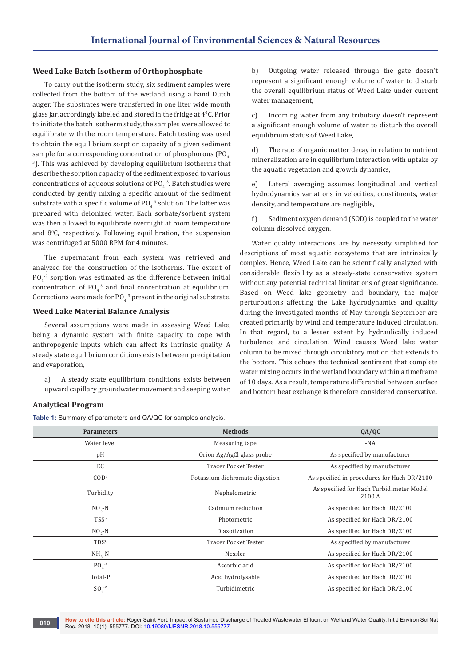## **Weed Lake Batch Isotherm of Orthophosphate**

To carry out the isotherm study, six sediment samples were collected from the bottom of the wetland using a hand Dutch auger. The substrates were transferred in one liter wide mouth glass jar, accordingly labeled and stored in the fridge at  $4^{\circ}$ C. Prior to initiate the batch isotherm study, the samples were allowed to equilibrate with the room temperature. Batch testing was used to obtain the equilibrium sorption capacity of a given sediment sample for a corresponding concentration of phosphorous (PO $_4^-$ 3 ). This was achieved by developing equilibrium isotherms that describe the sorption capacity of the sediment exposed to various concentrations of aqueous solutions of  $PO_4^{-3}$ . Batch studies were conducted by gently mixing a specific amount of the sediment substrate with a specific volume of  $PO_4^{-3}$  solution. The latter was prepared with deionized water. Each sorbate/sorbent system was then allowed to equilibrate overnight at room temperature and 8<sup>0</sup> C, respectively. Following equilibration, the suspension was centrifuged at 5000 RPM for 4 minutes.

The supernatant from each system was retrieved and analyzed for the construction of the isotherms. The extent of  $PQ_4^{3}$  sorption was estimated as the difference between initial concentration of  $PO_4^{-3}$  and final concentration at equilibrium. Corrections were made for  $PO<sub>4</sub>$ <sup>-3</sup> present in the original substrate.

## **Weed Lake Material Balance Analysis**

Several assumptions were made in assessing Weed Lake, being a dynamic system with finite capacity to cope with anthropogenic inputs which can affect its intrinsic quality. A steady state equilibrium conditions exists between precipitation and evaporation,

a) A steady state equilibrium conditions exists between upward capillary groundwater movement and seeping water,

## b) Outgoing water released through the gate doesn't represent a significant enough volume of water to disturb the overall equilibrium status of Weed Lake under current water management,

c) Incoming water from any tributary doesn't represent a significant enough volume of water to disturb the overall equilibrium status of Weed Lake,

d) The rate of organic matter decay in relation to nutrient mineralization are in equilibrium interaction with uptake by the aquatic vegetation and growth dynamics,

e) Lateral averaging assumes longitudinal and vertical hydrodynamics variations in velocities, constituents, water density, and temperature are negligible,

f) Sediment oxygen demand (SOD) is coupled to the water column dissolved oxygen.

Water quality interactions are by necessity simplified for descriptions of most aquatic ecosystems that are intrinsically complex. Hence, Weed Lake can be scientifically analyzed with considerable flexibility as a steady-state conservative system without any potential technical limitations of great significance. Based on Weed lake geometry and boundary, the major perturbations affecting the Lake hydrodynamics and quality during the investigated months of May through September are created primarily by wind and temperature induced circulation. In that regard, to a lesser extent by hydraulically induced turbulence and circulation. Wind causes Weed lake water column to be mixed through circulatory motion that extends to the bottom. This echoes the technical sentiment that complete water mixing occurs in the wetland boundary within a timeframe of 10 days. As a result, temperature differential between surface and bottom heat exchange is therefore considered conservative.

## **Analytical Program**

**Table 1:** Summary of parameters and QA/QC for samples analysis.

| <b>Parameters</b> | <b>Methods</b>                 | QA/QC                                              |
|-------------------|--------------------------------|----------------------------------------------------|
| Water level       | Measuring tape                 | $-NA$                                              |
| pH                | Orion Ag/AgCl glass probe      | As specified by manufacturer                       |
| EC                | <b>Tracer Pocket Tester</b>    | As specified by manufacturer                       |
| COD <sup>a</sup>  | Potassium dichromate digestion | As specified in procedures for Hach DR/2100        |
| Turbidity         | Nephelometric                  | As specified for Hach Turbidimeter Model<br>2100 A |
| $NO2 - N$         | Cadmium reduction              | As specified for Hach DR/2100                      |
| <b>TSSb</b>       | Photometric                    | As specified for Hach DR/2100                      |
| $NO2 - N$         | Diazotization                  | As specified for Hach DR/2100                      |
| TDS <sup>c</sup>  | <b>Tracer Pocket Tester</b>    | As specified by manufacturer                       |
| $NH2-N$           | Nessler                        | As specified for Hach DR/2100                      |
| $PO4-3$           | Ascorbic acid                  | As specified for Hach DR/2100                      |
| Total-P           | Acid hydrolysable              | As specified for Hach DR/2100                      |
| $SO_4^{-2}$       | Turbidimetric                  | As specified for Hach DR/2100                      |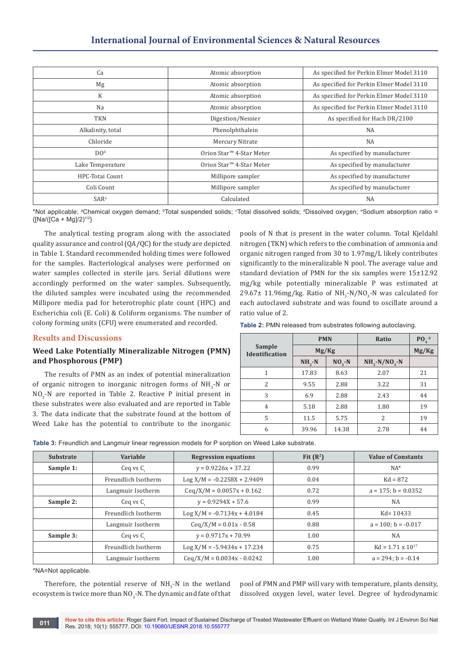# **International Journal of Environmental Sciences & Natural Resources**

| Ca                     | Atomic absorption                    | As specified for Perkin Elmer Model 3110 |
|------------------------|--------------------------------------|------------------------------------------|
| Mg                     | Atomic absorption                    | As specified for Perkin Elmer Model 3110 |
| K                      | Atomic absorption                    | As specified for Perkin Elmer Model 3110 |
| Na                     | Atomic absorption                    | As specified for Perkin Elmer Model 3110 |
| <b>TKN</b>             | Digestion/Nessier                    | As specified for Hach DR/2100            |
| Alkalinity, total      | Phenolphthalein                      | <b>NA</b>                                |
| Chloride               | Mercury Nitrate                      | <b>NA</b>                                |
| DO <sup>d</sup>        | Orion Star <sup>™</sup> 4-Star Meter | As specified by manufacturer             |
| Lake Temperature       | Orion Star <sup>™</sup> 4-Star Meter | As specified by manufacturer             |
| <b>HPC-Totai Count</b> | Millipore sampler                    | As specified by manufacturer             |
| Coli Count             | Millipore sampler                    | As specified by manufacturer             |
| SAR <sup>e</sup>       | Calculated                           | <b>NA</b>                                |

\*Not applicable; ªChemical oxygen demand; ʰTotal suspended solids; °Total dissolved solids; ªDissolved oxygen; °Sodium absorption ratio =  ${[Na/([Ca + Mg]/2)^{1/2}]}$ 

The analytical testing program along with the associated quality assurance and control (QA/QC) for the study are depicted in Table 1. Standard recommended holding times were followed for the samples. Bacteriological analyses were performed on water samples collected in sterile jars. Serial dilutions were accordingly performed on the water samples. Subsequently, the diluted samples were incubated using the recommended Millipore media pad for heterotrophic plate count (HPC) and Escherichia coli (E. Coli) & Coliform organisms. The number of colony forming units (CFU) were enumerated and recorded.

## **Results and Discussions**

## **Weed Lake Potentially Mineralizable Nitrogen (PMN) and Phosphorous (PMP)**

The results of PMN as an index of potential mineralization of organic nitrogen to inorganic nitrogen forms of  $NH_3$ -N or  $NO<sub>3</sub>$ -N are reported in Table 2. Reactive P initial present in these substrates were also evaluated and are reported in Table 3. The data indicate that the substrate found at the bottom of Weed Lake has the potential to contribute to the inorganic pools of N that is present in the water column. Total Kjeldahl nitrogen (TKN) which refers to the combination of ammonia and organic nitrogen ranged from 30 to 1.97mg/L likely contributes significantly to the mineralizable N pool. The average value and standard deviation of PMN for the six samples were 15±12.92 mg/kg while potentially mineralizable P was estimated at 29.67 $\pm$  11.96mg/kg. Ratio of NH<sub>3</sub>-N/NO<sub>3</sub>-N was calculated for each autoclaved substrate and was found to oscillate around a ratio value of 2.

| Table 2: PMN released from substrates following autoclaving. |  |  |
|--------------------------------------------------------------|--|--|
|--------------------------------------------------------------|--|--|

|                                 | <b>PMN</b>  |         | Ratio                          | $P04-3$ |
|---------------------------------|-------------|---------|--------------------------------|---------|
| Sample<br><b>Identification</b> | Mg/Kg       |         |                                | Mg/Kg   |
|                                 | $NH_{3}$ -N | $NO3-N$ | $NH_{3}$ -N/NO <sub>3</sub> -N |         |
| 1                               | 17.83       | 8.63    | 2.07                           | 21      |
| 2                               | 9.55        | 2.88    | 3.22                           | 31      |
| 3                               | 6.9         | 2.88    | 2.43                           | 44      |
| $\overline{4}$                  | 5.18        | 2.88    | 1.80                           | 19      |
| 5                               | 11.5        | 5.75    | 2                              | 19      |
| 6                               | 39.96       | 14.38   | 2.78                           | 44      |

|  |  | Table 3: Freundlich and Langmuir linear regression models for P sorption on Weed Lake substrate. |
|--|--|--------------------------------------------------------------------------------------------------|
|  |  |                                                                                                  |

| <b>Substrate</b> | Variable            | <b>Regression equations</b>   | Fit $(R^2)$ | <b>Value of Constants</b>  |
|------------------|---------------------|-------------------------------|-------------|----------------------------|
| Sample 1:        | Ceq vs C.           | $y = 0.9226x + 37.22$         | 0.99        | $NA^*$                     |
|                  | Freundlich Isotherm | $Log X/M = -0.22S8X + 2.9409$ | 0.04        | $Kd = 872$                 |
|                  | Langmuir Isotherm   | $Ceq/X/M = 0.0057x + 0.162$   | 0.72        | $a = 175$ ; $b = 0.0352$   |
| Sample 2:        | Ceq vs $C_{\rm s}$  | $y = 0.9294X + 57.6$          | 0.99        | NA                         |
|                  | Freundlich Isotherm | $Log X/M = -0.7134x + 4.0184$ | 0.45        | $Kd = 10433$               |
|                  | Langmuir Isotherm   | $Ceq/X/M = 0.01x - 0.58$      | 0.88        | $a = 100$ ; $b = -0.017$   |
| Sample 3:        | Ceq vs $C_{\rm s}$  | $y = 0.9717x + 70.99$         | 1.00        | NA                         |
|                  | Freundlich Isotherm | $Log X/M = -5.9434x + 17.234$ | 0.75        | $Kd = 1.71 \times 10^{17}$ |
|                  | Langmuir Isotherm   | $Ceq/X/M = 0.0034x - 0.0242$  | 1.00        | $a = 294$ : $b = -0.14$    |

\*NA=Not applicable.

Therefore, the potential reserve of  $NH_3$ -N in the wetland ecosystem is twice more than NO $_3$ -N. The dynamic and fate of that pool of PMN and PMP will vary with temperature, plants density, dissolved oxygen level, water level. Degree of hydrodynamic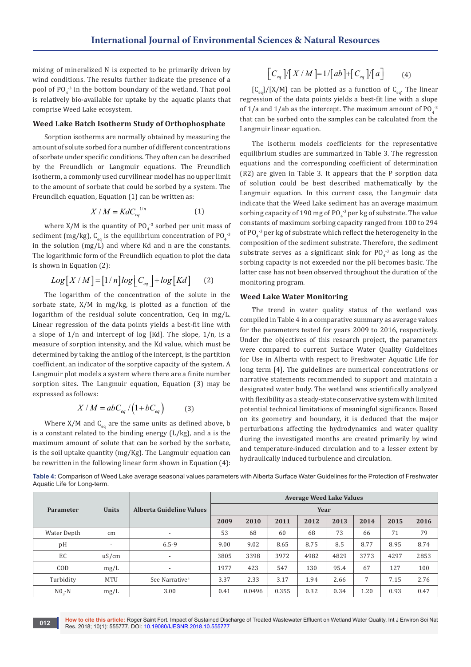mixing of mineralized N is expected to be primarily driven by wind conditions. The results further indicate the presence of a pool of  $PO_4^{-3}$  in the bottom boundary of the wetland. That pool is relatively bio-available for uptake by the aquatic plants that comprise Weed Lake ecosystem.

#### **Weed Lake Batch Isotherm Study of Orthophosphate**

Sorption isotherms are normally obtained by measuring the amount of solute sorbed for a number of different concentrations of sorbate under specific conditions. They often can be described by the Freundlich or Langmuir equations. The Freundlich isotherm, a commonly used curvilinear model has no upper limit to the amount of sorbate that could be sorbed by a system. The Freundlich equation, Equation (1) can be written as:

$$
X/M = K dC_{eq}^{1/n} \tag{1}
$$

where  $X/M$  is the quantity of PO<sub>4</sub><sup>3</sup> sorbed per unit mass of sediment (mg/kg),  $\mathsf{C}_{\mathsf{eq}}$  is the equilibrium concentration of PO $_4^{-3}$ in the solution (mg/L) and where Kd and n are the constants. The logarithmic form of the Freundlich equation to plot the data is shown in Equation (2):

$$
Log[X/M] = [1/n]log[C_{eq}] + log[Kd]
$$
 (2)

The logarithm of the concentration of the solute in the sorbate state, X/M in mg/kg, is plotted as a function of the logarithm of the residual solute concentration, Ceq in mg/L. Linear regression of the data points yields a best-fit line with a slope of 1/n and intercept of log [Kd]. The slope, 1/n, is a measure of sorption intensity, and the Kd value, which must be determined by taking the antilog of the intercept, is the partition coefficient, an indicator of the sorptive capacity of the system. A Langmuir plot models a system where there are a finite number sorption sites. The Langmuir equation, Equation (3) may be expressed as follows:

$$
X/M = abC_{eq}/(1+bC_{eq})
$$
 (3)

Where  $X/M$  and  $C_{eq}$  are the same units as defined above, b is a constant related to the binding energy (L/kg), and a is the maximum amount of solute that can be sorbed by the sorbate, is the soil uptake quantity (mg/Kg). The Langmuir equation can be rewritten in the following linear form shown in Equation (4):

$$
\left[C_{eq}\right] / \left[X/M\right] = 1 / \left[ab\right] + \left[C_{eq}\right] / \left[a\right] \tag{4}
$$

 $[C_{eq}]/[X/M]$  can be plotted as a function of  $C_{eq}$ . The linear regression of the data points yields a best-fit line with a slope of 1/a and 1/ab as the intercept. The maximum amount of  $PO_4^{-3}$ that can be sorbed onto the samples can be calculated from the Langmuir linear equation.

The isotherm models coefficients for the representative equilibrium studies are summarized in Table 3. The regression equations and the corresponding coefficient of determination (R2) are given in Table 3. It appears that the P sorption data of solution could be best described mathematically by the Langmuir equation. In this current case, the Langmuir data indicate that the Weed Lake sediment has an average maximum sorbing capacity of 190 mg of  $PO_4^{-3}$  per kg of substrate. The value constants of maximum sorbing capacity ranged from 100 to 294 of  $PO_4^{-3}$  per kg of substrate which reflect the heterogeneity in the composition of the sediment substrate. Therefore, the sediment substrate serves as a significant sink for  $PO_4^3$  as long as the sorbing capacity is not exceeded nor the pH becomes basic. The latter case has not been observed throughout the duration of the monitoring program.

## **Weed Lake Water Monitoring**

The trend in water quality status of the wetland was compiled in Table 4 in a comparative summary as average values for the parameters tested for years 2009 to 2016, respectively. Under the objectives of this research project, the parameters were compared to current Surface Water Quality Guidelines for Use in Alberta with respect to Freshwater Aquatic Life for long term [4]. The guidelines are numerical concentrations or narrative statements recommended to support and maintain a designated water body. The wetland was scientifically analyzed with flexibility as a steady-state conservative system with limited potential technical limitations of meaningful significance. Based on its geometry and boundary, it is deduced that the major perturbations affecting the hydrodynamics and water quality during the investigated months are created primarily by wind and temperature-induced circulation and to a lesser extent by hydraulically induced turbulence and circulation.

**Table 4:** Comparison of Weed Lake average seasonal values parameters with Alberta Surface Water Guidelines for the Protection of Freshwater Aquatic Life for Long-term.

|                  |                          |                            |      |        |       | <b>Average Weed Lake Values</b> |      |      |      |      |
|------------------|--------------------------|----------------------------|------|--------|-------|---------------------------------|------|------|------|------|
| <b>Parameter</b> | <b>Units</b>             | Alberta Guideline Values   |      | Year   |       |                                 |      |      |      |      |
|                  |                          |                            | 2009 | 2010   | 2011  | 2012                            | 2013 | 2014 | 2015 | 2016 |
| Water Depth      | cm                       | $\overline{\phantom{a}}$   | 53   | 68     | 60    | 68                              | 73   | 66   | 71   | 79   |
| pH               | $\overline{\phantom{a}}$ | $6.5 - 9$                  | 9.00 | 9.02   | 8.65  | 8.75                            | 8.5  | 8.77 | 8.95 | 8.74 |
| EC               | uS/cm                    | $\overline{\phantom{a}}$   | 3805 | 3398   | 3972  | 4982                            | 4829 | 3773 | 4297 | 2853 |
| COD              | mg/L                     | $\overline{\phantom{0}}$   | 1977 | 423    | 547   | 130                             | 95.4 | 67   | 127  | 100  |
| Turbidity        | <b>MTU</b>               | See Narrative <sup>a</sup> | 3.37 | 2.33   | 3.17  | 1.94                            | 2.66 | 7    | 7.15 | 2.76 |
| $NO2-N$          | mg/L                     | 3.00                       | 0.41 | 0.0496 | 0.355 | 0.32                            | 0.34 | 1.20 | 0.93 | 0.47 |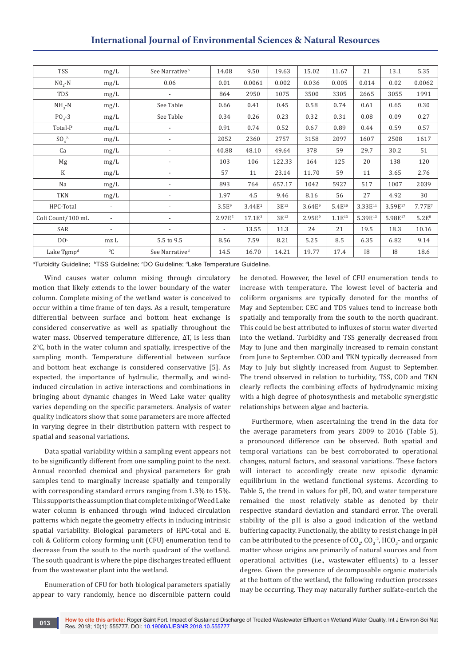| <b>International Journal of Environmental Sciences &amp; Natural Resources</b> |  |
|--------------------------------------------------------------------------------|--|
|--------------------------------------------------------------------------------|--|

| <b>TSS</b>             | mg/L                     | See Narrative <sup>b</sup> | 14.08                    | 9.50               | 19.63     | 15.02       | 11.67       | 21                  | 13.1      | 5.35               |
|------------------------|--------------------------|----------------------------|--------------------------|--------------------|-----------|-------------|-------------|---------------------|-----------|--------------------|
| $NO2 - N$              | mg/L                     | 0.06                       | 0.01                     | 0.0061             | 0.002     | 0.036       | 0.005       | 0.014               | 0.02      | 0.0062             |
| TDS                    | mg/L                     | $\overline{a}$             | 864                      | 2950               | 1075      | 3500        | 3305        | 2665                | 3055      | 1991               |
| $NH_{3}$ -N            | mg/L                     | See Table                  | 0.66                     | 0.41               | 0.45      | 0.58        | 0.74        | 0.61                | 0.65      | 0.30               |
| $POA-3$                | mg/L                     | See Table                  | 0.34                     | 0.26               | 0.23      | 0.32        | 0.31        | 0.08                | 0.09      | 0.27               |
| Total-P                | mg/L                     | $\overline{\phantom{0}}$   | 0.91                     | 0.74               | 0.52      | 0.67        | 0.89        | 0.44                | 0.59      | 0.57               |
| $SO_4^2$               | mg/L                     |                            | 2052                     | 2360               | 2757      | 3158        | 2097        | 1607                | 2508      | 1617               |
| Ca                     | mg/L                     | $\overline{\phantom{0}}$   | 40.88                    | 48.10              | 49.64     | 378         | 59          | 29.7                | 30.2      | 51                 |
| Mg                     | mg/L                     | $\overline{a}$             | 103                      | 106                | 122.33    | 164         | 125         | 20                  | 138       | 120                |
| K                      | mg/L                     | $\overline{\phantom{0}}$   | 57                       | 11                 | 23.14     | 11.70       | 59          | 11                  | 3.65      | 2.76               |
| Na                     | mg/L                     | $\overline{a}$             | 893                      | 764                | 657.17    | 1042        | 5927        | 517                 | 1007      | 2039               |
| <b>TKN</b>             | mg/L                     | $\overline{a}$             | 1.97                     | 4.5                | 9.46      | 8.16        | 56          | 27                  | 4.92      | 30                 |
| HPC-Total              | $\overline{\phantom{a}}$ |                            | 3.5E <sup>9</sup>        | 3.44E <sup>2</sup> | $3E^{12}$ | $3.64E^{9}$ | $5.4E^{10}$ | 3.33E <sup>11</sup> | 3.59E17   | 7.77E <sup>7</sup> |
| Coli Count/100 mL      | $\overline{\phantom{a}}$ | $\overline{a}$             | 2.97E <sup>5</sup>       | $17.1E^3$          | $3E^{12}$ | $2.95E^{9}$ | $1.1E^{13}$ | 5.39E <sup>13</sup> | 5.98E17   | 5.2E <sup>8</sup>  |
| SAR                    | $\overline{\phantom{a}}$ | $\overline{a}$             | $\overline{\phantom{a}}$ | 13.55              | 11.3      | 24          | 21          | 19.5                | 18.3      | 10.16              |
| DO <sup>c</sup>        | mz L                     | 5.5 to 9.5                 | 8.56                     | 7.59               | 8.21      | 5.25        | 8.5         | 6.35                | 6.82      | 9.14               |
| Lake Tgmp <sup>d</sup> | ${}^{0}C$                | See Narrative <sup>d</sup> | 14.5                     | 16.70              | 14.21     | 19.77       | 17.4        | <b>I8</b>           | <b>I8</b> | 18.6               |

ªTurbidity Guideline; <sup>ь</sup>TSS Guideline; ○DO Guideline; <sup></sup>'Lake Temperature Guideline.

Wind causes water column mixing through circulatory motion that likely extends to the lower boundary of the water column. Complete mixing of the wetland water is conceived to occur within a time frame of ten days. As a result, temperature differential between surface and bottom heat exchange is considered conservative as well as spatially throughout the water mass. Observed temperature difference, ΔT, is less than 20 C, both in the water column and spatially, irrespective of the sampling month. Temperature differential between surface and bottom heat exchange is considered conservative [5]. As expected, the importance of hydraulic, thermally, and windinduced circulation in active interactions and combinations in bringing about dynamic changes in Weed Lake water quality varies depending on the specific parameters. Analysis of water quality indicators show that some parameters are more affected in varying degree in their distribution pattern with respect to spatial and seasonal variations.

Data spatial variability within a sampling event appears not to be significantly different from one sampling point to the next. Annual recorded chemical and physical parameters for grab samples tend to marginally increase spatially and temporally with corresponding standard errors ranging from 1.3% to 15%. This supports the assumption that complete mixing of Weed Lake water column is enhanced through wind induced circulation patterns which negate the geometry effects in inducing intrinsic spatial variability. Biological parameters of HPC-total and E. coli & Coliform colony forming unit (CFU) enumeration tend to decrease from the south to the north quadrant of the wetland. The south quadrant is where the pipe discharges treated effluent from the wastewater plant into the wetland.

Enumeration of CFU for both biological parameters spatially appear to vary randomly, hence no discernible pattern could be denoted. However, the level of CFU enumeration tends to increase with temperature. The lowest level of bacteria and coliform organisms are typically denoted for the months of May and September. CEC and TDS values tend to increase both spatially and temporally from the south to the north quadrant. This could be best attributed to influxes of storm water diverted into the wetland. Turbidity and TSS generally decreased from May to June and then marginally increased to remain constant from June to September. COD and TKN typically decreased from May to July but slightly increased from August to September. The trend observed in relation to turbidity, TSS, COD and TKN clearly reflects the combining effects of hydrodynamic mixing with a high degree of photosynthesis and metabolic synergistic relationships between algae and bacteria.

Furthermore, when ascertaining the trend in the data for the average parameters from years 2009 to 2016 (Table 5), a pronounced difference can be observed. Both spatial and temporal variations can be best corroborated to operational changes, natural factors, and seasonal variations. These factors will interact to accordingly create new episodic dynamic equilibrium in the wetland functional systems. According to Table 5, the trend in values for pH, DO, and water temperature remained the most relatively stable as denoted by their respective standard deviation and standard error. The overall stability of the pH is also a good indication of the wetland buffering capacity. Functionally, the ability to resist change in pH can be attributed to the presence of  $\text{CO}_2$ ,  $\text{CO}_3^{-2}$ , HCO<sub>3</sub>- and organic matter whose origins are primarily of natural sources and from operational activities (i.e., wastewater effluents) to a lesser degree. Given the presence of decomposable organic materials at the bottom of the wetland, the following reduction processes may be occurring. They may naturally further sulfate-enrich the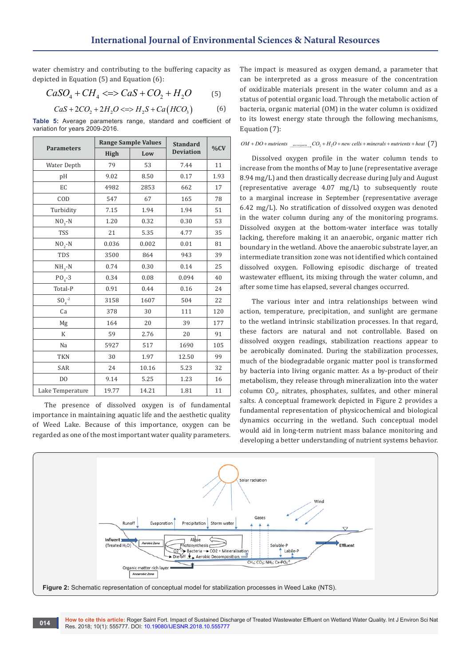water chemistry and contributing to the buffering capacity as depicted in Equation (5) and Equation (6):

$$
CaSO_4 + CH_4 \Longleftrightarrow CaS + CO_2 + H_2O \tag{5}
$$

$$
CaS + 2CO_2 + 2H_2O \iff H_2S + Ca(HCO_3)
$$
 (6)

**Table 5:** Average parameters range, standard and coefficient of variation for years 2009-2016.

| <b>Parameters</b> |       | <b>Range Sample Values</b> | <b>Standard</b>  | %CV  |
|-------------------|-------|----------------------------|------------------|------|
|                   | High  | Low                        | <b>Deviation</b> |      |
| Water Depth       | 79    | 53                         | 7.44             | 11   |
| pH                | 9.02  | 8.50                       | 0.17             | 1.93 |
| EC                | 4982  | 2853                       | 662              | 17   |
| COD               | 547   | 67                         | 165              | 78   |
| Turbidity         | 7.15  | 1.94                       | 1.94             | 51   |
| $NO3 - N$         | 1.20  | 0.32                       | 0.30             | 53   |
| <b>TSS</b>        | 21    | 5.35                       | 4.77             | 35   |
| $NO2 - N$         | 0.036 | 0.002                      | 0.01             | 81   |
| <b>TDS</b>        | 3500  | 864                        | 943              | 39   |
| $NH3 - N$         | 0.74  | 0.30                       | 0.14             | 25   |
| $PO4-3$           | 0.34  | 0.08                       | 0.094            | 40   |
| Total-P           | 0.91  | 0.44                       | 0.16             | 24   |
| $SO_4^{-2}$       | 3158  | 1607                       | 504              | 22   |
| Ca                | 378   | 30                         | 111              | 120  |
| Mg                | 164   | 20                         | 39               | 177  |
| K                 | 59    | 2.76                       | 20               | 91   |
| Na                | 5927  | 517                        | 1690             | 105  |
| <b>TKN</b>        | 30    | 1.97                       | 12.50            | 99   |
| SAR               | 24    | 10.16                      | 5.23             | 32   |
| D <sub>0</sub>    | 9.14  | 5.25                       | 1.23             | 16   |
| Lake Temperature  | 19.77 | 14.21                      | 1.81             | 11   |

The presence of dissolved oxygen is of fundamental importance in maintaining aquatic life and the aesthetic quality of Weed Lake. Because of this importance, oxygen can be regarded as one of the most important water quality parameters.

The impact is measured as oxygen demand, a parameter that can be interpreted as a gross measure of the concentration of oxidizable materials present in the water column and as a status of potential organic load. Through the metabolic action of bacteria, organic material (OM) in the water column is oxidized to its lowest energy state through the following mechanisms, Equation (7):

#### $OM + DO + nutrients$   $_{microequation} CO_2 + H_2O + new cells + minerals + nutrients + heat$  (7)

Dissolved oxygen profile in the water column tends to increase from the months of May to June (representative average 8.94 mg/L) and then drastically decrease during July and August (representative average 4.07 mg/L) to subsequently route to a marginal increase in September (representative average 6.42 mg/L). No stratification of dissolved oxygen was denoted in the water column during any of the monitoring programs. Dissolved oxygen at the bottom-water interface was totally lacking, therefore making it an anaerobic, organic matter rich boundary in the wetland. Above the anaerobic substrate layer, an intermediate transition zone was not identified which contained dissolved oxygen. Following episodic discharge of treated wastewater effluent, its mixing through the water column, and after some time has elapsed, several changes occurred.

The various inter and intra relationships between wind action, temperature, precipitation, and sunlight are germane to the wetland intrinsic stabilization processes. In that regard, these factors are natural and not controllable. Based on dissolved oxygen readings, stabilization reactions appear to be aerobically dominated. During the stabilization processes, much of the biodegradable organic matter pool is transformed by bacteria into living organic matter. As a by-product of their metabolism, they release through mineralization into the water column  $CO_{2'}$  nitrates, phosphates, sulfates, and other mineral salts. A conceptual framework depicted in Figure 2 provides a fundamental representation of physicochemical and biological dynamics occurring in the wetland. Such conceptual model would aid in long-term nutrient mass balance monitoring and developing a better understanding of nutrient systems behavior.

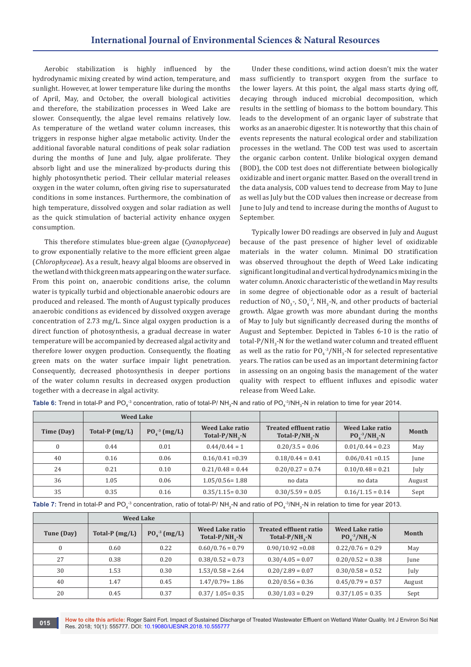Aerobic stabilization is highly influenced by the hydrodynamic mixing created by wind action, temperature, and sunlight. However, at lower temperature like during the months of April, May, and October, the overall biological activities and therefore, the stabilization processes in Weed Lake are slower. Consequently, the algae level remains relatively low. As temperature of the wetland water column increases, this triggers in response higher algae metabolic activity. Under the additional favorable natural conditions of peak solar radiation during the months of June and July, algae proliferate. They absorb light and use the mineralized by-products during this highly photosynthetic period. Their cellular material releases oxygen in the water column, often giving rise to supersaturated conditions in some instances. Furthermore, the combination of high temperature, dissolved oxygen and solar radiation as well as the quick stimulation of bacterial activity enhance oxygen consumption.

This therefore stimulates blue-green algae (*Cyanophyceae*) to grow exponentially relative to the more efficient green algae (*Chlorophyceae*). As a result, heavy algal blooms are observed in the wetland with thick green mats appearing on the water surface. From this point on, anaerobic conditions arise, the column water is typically turbid and objectionable anaerobic odours are produced and released. The month of August typically produces anaerobic conditions as evidenced by dissolved oxygen average concentration of 2.73 mg/L. Since algal oxygen production is a direct function of photosynthesis, a gradual decrease in water temperature will be accompanied by decreased algal activity and therefore lower oxygen production. Consequently, the floating green mats on the water surface impair light penetration. Consequently, decreased photosynthesis in deeper portions of the water column results in decreased oxygen production together with a decrease in algal activity.

Under these conditions, wind action doesn't mix the water mass sufficiently to transport oxygen from the surface to the lower layers. At this point, the algal mass starts dying off, decaying through induced microbial decomposition, which results in the settling of biomass to the bottom boundary. This leads to the development of an organic layer of substrate that works as an anaerobic digester. It is noteworthy that this chain of events represents the natural ecological order and stabilization processes in the wetland. The COD test was used to ascertain the organic carbon content. Unlike biological oxygen demand (BOD), the COD test does not differentiate between biologically oxidizable and inert organic matter. Based on the overall trend in the data analysis, COD values tend to decrease from May to June as well as July but the COD values then increase or decrease from June to July and tend to increase during the months of August to September.

Typically lower DO readings are observed in July and August because of the past presence of higher level of oxidizable materials in the water column. Minimal DO stratification was observed throughout the depth of Weed Lake indicating significant longitudinal and vertical hydrodynamics mixing in the water column. Anoxic characteristic of the wetland in May results in some degree of objectionable odor as a result of bacterial reduction of  $NO_{3}$ -,  $SO_{4}$ <sup>-2</sup>, NH<sub>3</sub>-N, and other products of bacterial growth. Algae growth was more abundant during the months of May to July but significantly decreased during the months of August and September. Depicted in Tables 6-10 is the ratio of total-P/NH<sub>3</sub>-N for the wetland water column and treated effluent as well as the ratio for  $PO_4^{-3}/NH_3$ -N for selected representative years. The ratios can be used as an important determining factor in assessing on an ongoing basis the management of the water quality with respect to effluent influxes and episodic water release from Weed Lake.

|                | <b>Weed Lake</b> |                |                                         |                                                       |                                       |        |
|----------------|------------------|----------------|-----------------------------------------|-------------------------------------------------------|---------------------------------------|--------|
| Time (Day)     | Total-P $(mg/L)$ | $P04-3 (mg/L)$ | Weed Lake ratio<br>Total- $P/NH_{2}$ -N | <b>Treated effluent ratio</b><br>Total- $P/NH_{2}$ -N | Weed Lake ratio<br>$PQ_4^{-3}/NH_2-N$ | Month  |
| $\overline{0}$ | 0.44             | 0.01           | $0.44/0.44 = 1$                         | $0.20/3.5 = 0.06$                                     | $0.01/0.44 = 0.23$                    | May    |
| 40             | 0.16             | 0.06           | $0.16/0.41 = 0.39$                      | $0.18/0.44 = 0.41$                                    | $0.06/0.41 = 0.15$                    | June   |
| 24             | 0.21             | 0.10           | $0.21/0.48 = 0.44$                      | $0.20/0.27 = 0.74$                                    | $0.10/0.48 = 0.21$                    | July   |
| 36             | 1.05             | 0.06           | $1.05/0.56 = 1.88$                      | no data                                               | no data                               | August |
| 35             | 0.35             | 0.16           | $0.35/1.15 = 0.30$                      | $0.30/5.59 = 0.05$                                    | $0.16/1.15 = 0.14$                    | Sept   |

**Table 6:** Trend in total-P and PO $_4^{\cdot3}$  concentration, ratio of total-P/ NH $_3$ -N and ratio of PO $_4^{\cdot3}$ /NH $_3$ -N in relation to time for year 2014.

**Table 7:** Trend in total-P and PO $_4^{\cdot3}$  concentration, ratio of total-P/ NH $_3$ -N and ratio of PO $_4^{\cdot3}$ /NH $_3$ -N in relation to time for year 2013.

|            | <b>Weed Lake</b> |                   |                                                |                                                       |                                              |        |
|------------|------------------|-------------------|------------------------------------------------|-------------------------------------------------------|----------------------------------------------|--------|
| Tune (Day) | Total-P $(mg/L)$ | $P0_4^{3}$ (mg/L) | <b>Weed Lake ratio</b><br>Total- $P/NH_{2}$ -N | <b>Treated effluent ratio</b><br>Total- $P/NH_{2}$ -N | <b>Weed Lake ratio</b><br>$PQ_4^{-3}/NH_3-N$ | Month  |
| $\Omega$   | 0.60             | 0.22              | $0.60/0.76 = 0.79$                             | $0.90/10.92 = 0.08$                                   | $0.22/0.76 = 0.29$                           | May    |
| 27         | 0.38             | 0.20              | $0.38/0.52 = 0.73$                             | $0.30/4.05 = 0.07$                                    | $0.20/0.52 = 0.38$                           | June   |
| 30         | 1.53             | 0.30              | $1.53/0.58 = 2.64$                             | $0.20/2.89 = 0.07$                                    | $0.30/0.58 = 0.52$                           | July   |
| 40         | 1.47             | 0.45              | $1.47/0.79 = 1.86$                             | $0.20/0.56 = 0.36$                                    | $0.45/0.79 = 0.57$                           | August |
| 20         | 0.45             | 0.37              | $0.37/1.05 = 0.35$                             | $0.30/1.03 = 0.29$                                    | $0.37/1.05 = 0.35$                           | Sept   |

**How to cite this article:** Roger Saint Fort. Impact of Sustained Discharge of Treated Wastewater Effluent on Wetland Water Quality. Int J Environ Sci Nat **COLORED FIGORY OF CHEMILE AND ACTED**<br>Res. 2018; 10(1): 555777. DOI: [10.19080/IJESNR.2018.10.555777](http://dx.doi.org/10.19080/IJESNR.2018.10.555777)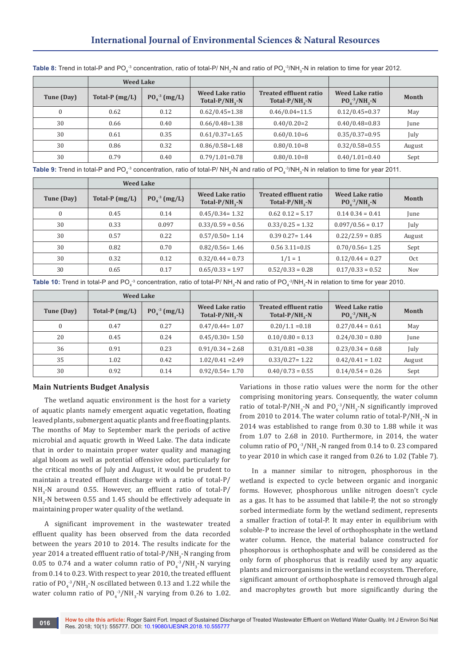# **International Journal of Environmental Sciences & Natural Resources**

|            | <b>Weed Lake</b> |                 |                                                      |                                                       |                                  |        |
|------------|------------------|-----------------|------------------------------------------------------|-------------------------------------------------------|----------------------------------|--------|
| Tune (Day) | Total-P $(mg/L)$ | $P0_4^3$ (mg/L) | <b>Weed Lake ratio</b><br>Total-P/NH <sub>2</sub> -N | <b>Treated effluent ratio</b><br>Total- $P/NH_{2}$ -N | Weed Lake ratio<br>$PO4-3/NH3-N$ | Month  |
|            | 0.62             | 0.12            | $0.62/0.45=1.38$                                     | $0.46/0.04=11.5$                                      | $0.12/0.45=0.37$                 | May    |
| 30         | 0.66             | 0.40            | $0.66/0.48=1.38$                                     | $0.40/0.20=2$                                         | $0.40/0.48=0.83$                 | June   |
| 30         | 0.61             | 0.35            | $0.61/0.37=1.65$                                     | $0.60/0.10=6$                                         | $0.35/0.37=0.95$                 | July   |
| 30         | 0.86             | 0.32            | $0.86/0.58=1.48$                                     | $0.80/0.10=8$                                         | $0.32/0.58=0.55$                 | August |
| 30         | 0.79             | 0.40            | $0.79/1.01=0.78$                                     | $0.80/0.10=8$                                         | $0.40/1.01=0.40$                 | Sept   |

**Table 8:** Trend in total-P and PO $_4^{\cdot3}$  concentration, ratio of total-P/ NH $_3$ -N and ratio of PO $_4^{\cdot3}$ /NH $_3$ -N in relation to time for year 2012.

Table 9: Trend in total-P and PO<sub>4</sub><sup>-3</sup> concentration, ratio of total-P/ NH<sub>3</sub>-N and ratio of PO<sub>4</sub><sup>-3</sup>/NH<sub>3</sub>-N in relation to time for year 2011.

|              | <b>Weed Lake</b> |                |                                         |                                                       |                                       |            |
|--------------|------------------|----------------|-----------------------------------------|-------------------------------------------------------|---------------------------------------|------------|
| Tune (Day)   | Total-P $(mg/L)$ | $P04-3 (mg/L)$ | Weed Lake ratio<br>Total- $P/NH_{2}$ -N | <b>Treated effluent ratio</b><br>Total- $P/NH_{2}$ -N | Weed Lake ratio<br>$PQ_4^{-3}/NH_3-N$ | Month      |
| $\mathbf{0}$ | 0.45             | 0.14           | $0.45/0.34 = 1.32$                      | $0.62$ $0.12 = 5.17$                                  | $0.14\ 0.34 = 0.41$                   | June       |
| 30           | 0.33             | 0.097          | $0.33/0.59 = 0.56$                      | $0.33/0.25 = 1.32$                                    | $0.097/0.56 = 0.17$                   | July       |
| 30           | 0.57             | 0.22           | $0.57/0.50 = 1.14$                      | $0.39$ $0.27 = 1.44$                                  | $0.22/2.59 = 0.85$                    | August     |
| 30           | 0.82             | 0.70           | $0.82/0.56 = 1.46$                      | $0.56$ 3.11=0.18                                      | $0.70/0.56 = 1.25$                    | Sept       |
| 30           | 0.32             | 0.12           | $0.32/0.44 = 0.73$                      | $1/1 = 1$                                             | $0.12/0.44 = 0.27$                    | 0ct        |
| 30           | 0.65             | 0.17           | $0.65/0.33 = 1.97$                      | $0.52/0.33 = 0.28$                                    | $0.17/0.33 = 0.52$                    | <b>Nov</b> |

**Table 10:** Trend in total-P and PO $_4$ <sup>3</sup> concentration, ratio of total-P/ NH $_3$ -N and ratio of PO $_4$ <sup>-3</sup>/NH $_3$ -N in relation to time for year 2010.

|            | <b>Weed Lake</b> |                |                                                |                                                       |                                       |        |
|------------|------------------|----------------|------------------------------------------------|-------------------------------------------------------|---------------------------------------|--------|
| Tune (Day) | Total-P $(mg/L)$ | $PO4-3 (mg/L)$ | <b>Weed Lake ratio</b><br>Total- $P/NH_{2}$ -N | <b>Treated effluent ratio</b><br>Total- $P/NH_{2}$ -N | Weed Lake ratio<br>$PQ_4^{-3}/NH_2-N$ | Month  |
|            | 0.47             | 0.27           | $0.47/0.44 = 1.07$                             | $0.20/1.1 = 0.18$                                     | $0.27/0.44 = 0.61$                    | May    |
| 20         | 0.45             | 0.24           | $0.45/0.30 = 1.50$                             | $0.10/0.80 = 0.13$                                    | $0.24/0.30 = 0.80$                    | June   |
| 36         | 0.91             | 0.23           | $0.91/0.34 = 2.68$                             | $0.31/0.81 = 0.38$                                    | $0.23/0.34 = 0.68$                    | July   |
| 35         | 1.02             | 0.42           | $1.02/0.41 = 2.49$                             | $0.33/0.27 = 1.22$                                    | $0.42/0.41 = 1.02$                    | August |
| 30         | 0.92             | 0.14           | $0.92/0.54 = 1.70$                             | $0.40/0.73 = 0.55$                                    | $0.14/0.54 = 0.26$                    | Sept   |

## **Main Nutrients Budget Analysis**

The wetland aquatic environment is the host for a variety of aquatic plants namely emergent aquatic vegetation, floating leaved plants, submergent aquatic plants and free floating plants. The months of May to September mark the periods of active microbial and aquatic growth in Weed Lake. The data indicate that in order to maintain proper water quality and managing algal bloom as well as potential offensive odor, particularly for the critical months of July and August, it would be prudent to maintain a treated effluent discharge with a ratio of total-P/  $NH_{3}$ -N around 0.55. However, an effluent ratio of total-P/  $NH_{3}$ -N between 0.55 and 1.45 should be effectively adequate in maintaining proper water quality of the wetland.

A significant improvement in the wastewater treated effluent quality has been observed from the data recorded between the years 2010 to 2014. The results indicate for the year 2014 a treated effluent ratio of total-P/NH<sub>3</sub>-N ranging from 0.05 to 0.74 and a water column ratio of  $PQ_4^{\;3}/NH_3$ -N varying from 0.14 to 0.23. With respect to year 2010, the treated effluent ratio of  $PO_4^{\text{-3}}/NH_3$ -N oscillated between 0.13 and 1.22 while the water column ratio of  $PO_{4}^{-3}/NH_{3}$ -N varying from 0.26 to 1.02. Variations in those ratio values were the norm for the other comprising monitoring years. Consequently, the water column ratio of total-P/NH<sub>3</sub>-N and PO<sub>4</sub><sup>-3</sup>/NH<sub>3</sub>-N significantly improved from 2010 to 2014. The water column ratio of total-P/NH $_{\rm 3}$ -N in 2014 was established to range from 0.30 to 1.88 while it was from 1.07 to 2.68 in 2010. Furthermore, in 2014, the water column ratio of  $PO_4^{-3}/NH_3$ -N ranged from 0.14 to 0.23 compared to year 2010 in which case it ranged from 0.26 to 1.02 (Table 7).

In a manner similar to nitrogen, phosphorous in the wetland is expected to cycle between organic and inorganic forms. However, phosphorous unlike nitrogen doesn't cycle as a gas. It has to be assumed that labile-P, the not so strongly sorbed intermediate form by the wetland sediment, represents a smaller fraction of total-P. It may enter in equilibrium with soluble-P to increase the level of orthophosphate in the wetland water column. Hence, the material balance constructed for phosphorous is orthophosphate and will be considered as the only form of phosphorus that is readily used by any aquatic plants and microorganisms in the wetland ecosystem. Therefore, significant amount of orthophosphate is removed through algal and macrophytes growth but more significantly during the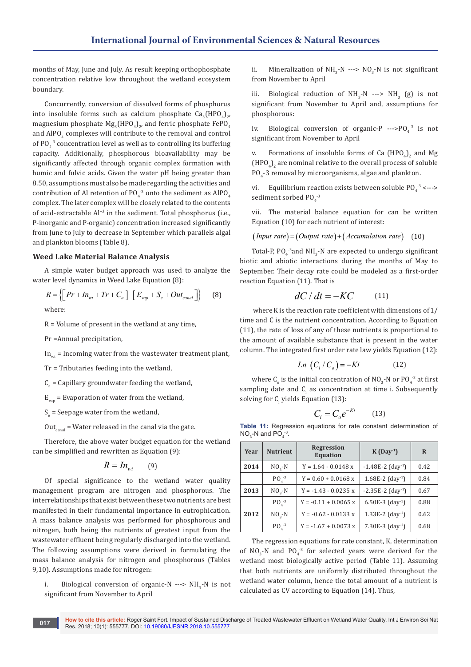months of May, June and July. As result keeping orthophosphate concentration relative low throughout the wetland ecosystem boundary.

Concurrently, conversion of dissolved forms of phosphorus into insoluble forms such as calcium phosphate  $\text{Ca}_{3}(\text{HPU}_{4})_{2'}$ magnesium phosphate Mg<sub>3</sub>(HPO<sub>4</sub>)<sub>2</sub>, and ferric phosphate FePO<sub>4</sub> and  $\mathrm{AIPO}_4$  complexes will contribute to the removal and control of  $PO_4^{-3}$  concentration level as well as to controlling its buffering capacity. Additionally, phosphorous bioavailability may be significantly affected through organic complex formation with humic and fulvic acids. Given the water pH being greater than 8.50, assumptions must also be made regarding the activities and contribution of Al retention of PO<sub>4</sub><sup>3</sup> onto the sediment as AlPO<sub>4</sub> complex. The later complex will be closely related to the contents of acid-extractable Al<sup>+3</sup> in the sediment. Total phosphorus (i.e., P-inorganic and P-organic) concentration increased significantly from June to July to decrease in September which parallels algal and plankton blooms (Table 8).

### **Weed Lake Material Balance Analysis**

A simple water budget approach was used to analyze the water level dynamics in Weed Lake Equation (8):

$$
R = \left\{ \left[ Pr + In_{wt} + Tr + C_a \right] - \left[ E_{vap} + S_e + Out_{canal} \right] \right\} \tag{8}
$$

where:

R = Volume of present in the wetland at any time,

Pr =Annual precipitation,

 $In_{\text{wt}}$  = Incoming water from the wastewater treatment plant,

Tr = Tributaries feeding into the wetland,

 ${\rm C}_{\rm a}$  = Capillary groundwater feeding the wetland,

 $E_{\text{van}}$  = Evaporation of water from the wetland,

 $S_e$  = Seepage water from the wetland,

Out<sub>canal</sub> = Water released in the canal via the gate.

Therefore, the above water budget equation for the wetland can be simplified and rewritten as Equation (9):

$$
R = I n_{\rm wt} \qquad (9)
$$

Of special significance to the wetland water quality management program are nitrogen and phosphorous. The interrelationships that exist between these two nutrients are best manifested in their fundamental importance in eutrophication. A mass balance analysis was performed for phosphorous and nitrogen, both being the nutrients of greatest input from the wastewater effluent being regularly discharged into the wetland. The following assumptions were derived in formulating the mass balance analysis for nitrogen and phosphorous (Tables 9,10). Assumptions made for nitrogen:

i. Biological conversion of organic-N ---> NH<sub>3</sub>-N is not significant from November to April

ii. Mineralization of  $NH<sub>3</sub>$ -N --->  $NO<sub>3</sub>$ -N is not significant from November to April

iii. Biological reduction of  $NH_3-N$  --->  $NH_3$  (g) is not significant from November to April and, assumptions for phosphorous:

iv. Biological conversion of organic-P  $\left(-\right)$  -->PO<sub>4</sub><sup>3</sup> is not significant from November to April

v. Formations of insoluble forms of Ca  $(HPU_4)_2$  and Mg  $(HPO<sub>4</sub>)<sub>2</sub>$  are nominal relative to the overall process of soluble  $PO_{4}$ -3 removal by microorganisms, algae and plankton.

vi. Equilibrium reaction exists between soluble  $PO_4^{-3} \leq -\frac{1}{2}$ sediment sorbed  $PO<sub>4</sub>$ <sup>-3</sup>

vii. The material balance equation for can be written Equation (10) for each nutrient of interest:

 $(Input rate) = (Output rate) + (Accumulation rate)$  (10)

Total-P,  $PQ_4^{\text{-3}}$  and NH<sub>3</sub>-N are expected to undergo significant biotic and abiotic interactions during the months of May to September. Their decay rate could be modeled as a first-order reaction Equation (11). That is

$$
dC/dt = -KC \tag{11}
$$

 where K is the reaction rate coefficient with dimensions of 1/ time and C is the nutrient concentration. According to Equation (11), the rate of loss of any of these nutrients is proportional to the amount of available substance that is present in the water column. The integrated first order rate law yields Equation (12):

$$
Ln\left(C_i/C_o\right) = -Kt\tag{12}
$$

where  $C_{\text{o}}$  is the initial concentration of NO<sub>3</sub>-N or PO<sub>4</sub><sup>-3</sup> at first sampling date and  $C_i$  as concentration at time i. Subsequently solving for  $C_i$  yields Equation (13):

$$
C_i = C_o e^{-Kt} \qquad (13)
$$

**Table 11:** Regression equations for rate constant determination of  $NO<sub>3</sub>$ -N and PO $<sub>4</sub>$ <sup>-3</sup>.</sub>

| Year | <b>Nutrient</b> | <b>Regression</b><br><b>Equation</b> | $K(Day-1)$                      | R    |
|------|-----------------|--------------------------------------|---------------------------------|------|
| 2014 | $NO2 - N$       | $Y = 1.64 - 0.0148 x$                | $-1.48E-2$ (day <sup>-1</sup> ) | 0.42 |
|      | $PO4-3$         | $Y = 0.60 + 0.0168$ x                | $1.68E-2$ (day <sup>-1</sup> )  | 0.84 |
| 2013 | $NO2 - N$       | $Y = -1.43 - 0.0235 x$               | $-2.35E-2$ (day <sup>-1</sup> ) | 0.67 |
|      | $PQ1-3$         | $Y = -0.11 + 0.0065$ x               | 6.50E-3 $(day^{-1})$            | 0.88 |
| 2012 | $NO2 - N$       | $Y = -0.62 - 0.0133 x$               | $1.33E-2$ (day <sup>-1</sup> )  | 0.62 |
|      | $PQ4-3$         | $Y = -1.67 + 0.0073 x$               | $7.30E-3$ (day <sup>-1</sup> )  | 0.68 |

The regression equations for rate constant, K, determination of  $NO_3$ -N and  $PO_4^{-3}$  for selected years were derived for the wetland most biologically active period (Table 11). Assuming that both nutrients are uniformly distributed throughout the wetland water column, hence the total amount of a nutrient is calculated as CV according to Equation (14). Thus,